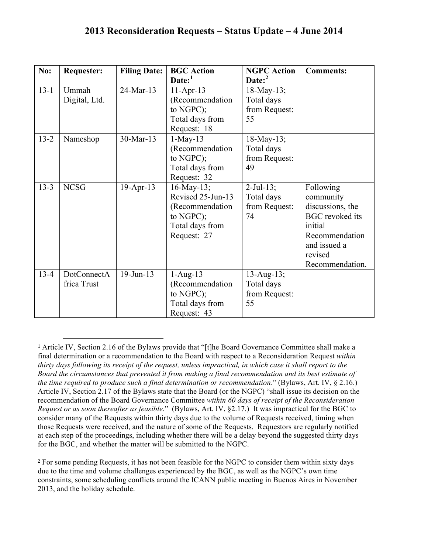| No:      | <b>Requester:</b>          | <b>Filing Date:</b> | <b>BGC</b> Action<br>Date: <sup>1</sup>                                                                 | <b>NGPC Action</b><br>Date: <sup>2</sup>           | <b>Comments:</b>                                                                                                                                |
|----------|----------------------------|---------------------|---------------------------------------------------------------------------------------------------------|----------------------------------------------------|-------------------------------------------------------------------------------------------------------------------------------------------------|
| $13 - 1$ | Ummah<br>Digital, Ltd.     | 24-Mar-13           | $11-Apr-13$<br>(Recommendation<br>to NGPC);<br>Total days from<br>Request: 18                           | $18$ -May-13;<br>Total days<br>from Request:<br>55 |                                                                                                                                                 |
| $13 - 2$ | Nameshop                   | 30-Mar-13           | $1-May-13$<br>(Recommendation<br>to $NGPC$ );<br>Total days from<br>Request: 32                         | $18$ -May-13;<br>Total days<br>from Request:<br>49 |                                                                                                                                                 |
| $13 - 3$ | <b>NCSG</b>                | 19-Apr-13           | $16$ -May-13;<br>Revised 25-Jun-13<br>(Recommendation<br>to $NGPC$ );<br>Total days from<br>Request: 27 | $2$ -Jul-13;<br>Total days<br>from Request:<br>74  | Following<br>community<br>discussions, the<br><b>BGC</b> revoked its<br>initial<br>Recommendation<br>and issued a<br>revised<br>Recommendation. |
| $13 - 4$ | DotConnectA<br>frica Trust | $19$ -Jun- $13$     | $1-Aug-13$<br>(Recommendation<br>to NGPC);<br>Total days from<br>Request: 43                            | $13$ -Aug-13;<br>Total days<br>from Request:<br>55 |                                                                                                                                                 |

<sup>1</sup> Article IV, Section 2.16 of the Bylaws provide that "[t]he Board Governance Committee shall make a final determination or a recommendation to the Board with respect to a Reconsideration Request *within thirty days following its receipt of the request, unless impractical, in which case it shall report to the Board the circumstances that prevented it from making a final recommendation and its best estimate of the time required to produce such a final determination or recommendation*." (Bylaws, Art. IV, § 2.16.) Article IV, Section 2.17 of the Bylaws state that the Board (or the NGPC) "shall issue its decision on the recommendation of the Board Governance Committee *within 60 days of receipt of the Reconsideration Request or as soon thereafter as feasible*." (Bylaws, Art. IV, §2.17.) It was impractical for the BGC to consider many of the Requests within thirty days due to the volume of Requests received, timing when those Requests were received, and the nature of some of the Requests. Requestors are regularly notified at each step of the proceedings, including whether there will be a delay beyond the suggested thirty days for the BGC, and whether the matter will be submitted to the NGPC.

 

<sup>2</sup> For some pending Requests, it has not been feasible for the NGPC to consider them within sixty days due to the time and volume challenges experienced by the BGC, as well as the NGPC's own time constraints, some scheduling conflicts around the ICANN public meeting in Buenos Aires in November 2013, and the holiday schedule.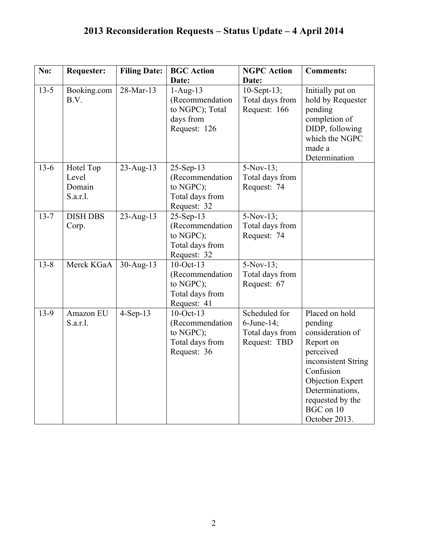| No:      | <b>Requester:</b>                        | <b>Filing Date:</b> | <b>BGC</b> Action                                                                 | <b>NGPC</b> Action                                             | <b>Comments:</b>                                                                                                                                                                                     |
|----------|------------------------------------------|---------------------|-----------------------------------------------------------------------------------|----------------------------------------------------------------|------------------------------------------------------------------------------------------------------------------------------------------------------------------------------------------------------|
|          |                                          |                     | Date:                                                                             | Date:                                                          |                                                                                                                                                                                                      |
| $13-5$   | Booking.com<br>B.V.                      | 28-Mar-13           | $1-Aug-13$<br>(Recommendation<br>to NGPC); Total<br>days from<br>Request: 126     | $10$ -Sept-13;<br>Total days from<br>Request: 166              | Initially put on<br>hold by Requester<br>pending<br>completion of<br>DIDP, following<br>which the NGPC<br>made a<br>Determination                                                                    |
| $13-6$   | Hotel Top<br>Level<br>Domain<br>S.a.r.l. | $23$ -Aug-13        | 25-Sep-13<br>(Recommendation<br>to NGPC);<br>Total days from<br>Request: 32       | $5-Nov-13;$<br>Total days from<br>Request: 74                  |                                                                                                                                                                                                      |
| $13 - 7$ | <b>DISH DBS</b><br>Corp.                 | $23$ -Aug-13        | 25-Sep-13<br>(Recommendation<br>to NGPC);<br>Total days from<br>Request: 32       | $5-Nov-13;$<br>Total days from<br>Request: 74                  |                                                                                                                                                                                                      |
| $13 - 8$ | Merck KGaA                               | $30$ -Aug-13        | $10$ -Oct-13<br>(Recommendation<br>to NGPC);<br>Total days from<br>Request: 41    | $5-Nov-13;$<br>Total days from<br>Request: 67                  |                                                                                                                                                                                                      |
| $13-9$   | Amazon EU<br>S.a.r.l.                    | $4-Sep-13$          | $10$ -Oct- $13$<br>(Recommendation<br>to NGPC);<br>Total days from<br>Request: 36 | Scheduled for<br>6-June-14;<br>Total days from<br>Request: TBD | Placed on hold<br>pending<br>consideration of<br>Report on<br>perceived<br>inconsistent String<br>Confusion<br>Objection Expert<br>Determinations,<br>requested by the<br>BGC on 10<br>October 2013. |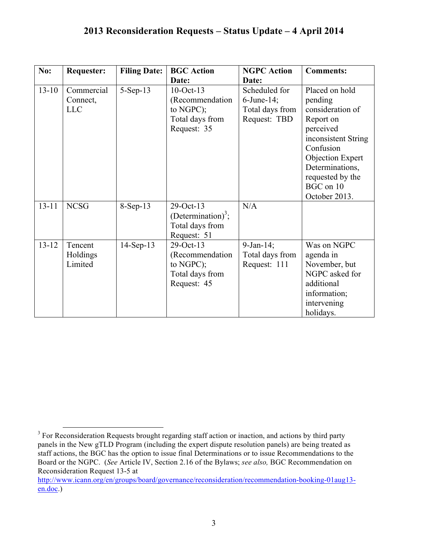| No:       | <b>Requester:</b>                    | <b>Filing Date:</b> | <b>BGC</b> Action                                                                 | <b>NGPC</b> Action                                                | <b>Comments:</b>                                                                                                                                                                                     |
|-----------|--------------------------------------|---------------------|-----------------------------------------------------------------------------------|-------------------------------------------------------------------|------------------------------------------------------------------------------------------------------------------------------------------------------------------------------------------------------|
|           |                                      |                     | Date:                                                                             | Date:                                                             |                                                                                                                                                                                                      |
| $13 - 10$ | Commercial<br>Connect,<br><b>LLC</b> | $5-Sep-13$          | $10$ -Oct-13<br>(Recommendation<br>to $NGPC$ );<br>Total days from<br>Request: 35 | Scheduled for<br>$6$ -June-14;<br>Total days from<br>Request: TBD | Placed on hold<br>pending<br>consideration of<br>Report on<br>perceived<br>inconsistent String<br>Confusion<br>Objection Expert<br>Determinations,<br>requested by the<br>BGC on 10<br>October 2013. |
| $13 - 11$ | <b>NCSG</b>                          | 8-Sep-13            | 29-Oct-13<br>(Determination) <sup>3</sup> ;<br>Total days from<br>Request: 51     | N/A                                                               |                                                                                                                                                                                                      |
| $13 - 12$ | Tencent<br>Holdings<br>Limited       | $14-Sep-13$         | 29-Oct-13<br>(Recommendation<br>to $NGPC$ );<br>Total days from<br>Request: 45    | $9$ -Jan-14;<br>Total days from<br>Request: 111                   | Was on NGPC<br>agenda in<br>November, but<br>NGPC asked for<br>additional<br>information;<br>intervening<br>holidays.                                                                                |

<sup>&</sup>lt;sup>3</sup> For Reconsideration Requests brought regarding staff action or inaction, and actions by third party panels in the New gTLD Program (including the expert dispute resolution panels) are being treated as staff actions, the BGC has the option to issue final Determinations or to issue Recommendations to the Board or the NGPC. (*See* Article IV, Section 2.16 of the Bylaws; *see also,* BGC Recommendation on Reconsideration Request 13-5 at

http://www.icann.org/en/groups/board/governance/reconsideration/recommendation-booking-01aug13 en.doc.)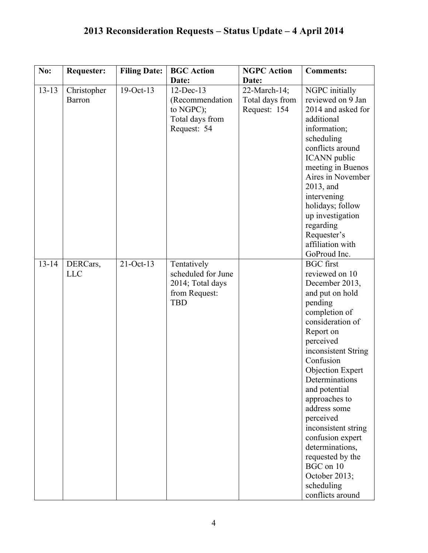| No:       | <b>Requester:</b>            | <b>Filing Date:</b> | <b>BGC</b> Action                                                                    | <b>NGPC</b> Action                              | <b>Comments:</b>                                                                                                                                                                                                                                                                                                                                                                                                                             |
|-----------|------------------------------|---------------------|--------------------------------------------------------------------------------------|-------------------------------------------------|----------------------------------------------------------------------------------------------------------------------------------------------------------------------------------------------------------------------------------------------------------------------------------------------------------------------------------------------------------------------------------------------------------------------------------------------|
|           |                              |                     | Date:                                                                                | Date:                                           |                                                                                                                                                                                                                                                                                                                                                                                                                                              |
| $13 - 13$ | Christopher<br><b>Barron</b> | 19-Oct-13           | $12$ -Dec-13<br>(Recommendation<br>to NGPC);<br>Total days from<br>Request: 54       | 22-March-14;<br>Total days from<br>Request: 154 | NGPC initially<br>reviewed on 9 Jan<br>2014 and asked for<br>additional<br>information;<br>scheduling<br>conflicts around<br><b>ICANN</b> public<br>meeting in Buenos<br>Aires in November<br>2013, and<br>intervening<br>holidays; follow<br>up investigation<br>regarding<br>Requester's<br>affiliation with<br>GoProud Inc.                                                                                                               |
| $13 - 14$ | DERCars,<br><b>LLC</b>       | $21-Oct-13$         | Tentatively<br>scheduled for June<br>2014; Total days<br>from Request:<br><b>TBD</b> |                                                 | <b>BGC</b> first<br>reviewed on 10<br>December 2013,<br>and put on hold<br>pending<br>completion of<br>consideration of<br>Report on<br>perceived<br>inconsistent String<br>Confusion<br>Objection Expert<br>Determinations<br>and potential<br>approaches to<br>address some<br>perceived<br>inconsistent string<br>confusion expert<br>determinations,<br>requested by the<br>BGC on 10<br>October 2013;<br>scheduling<br>conflicts around |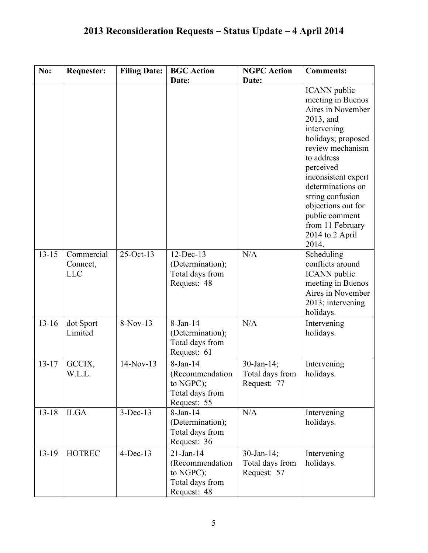| No:       | <b>Requester:</b>                    | <b>Filing Date:</b> | <b>BGC</b> Action                                                              | <b>NGPC Action</b>                              | <b>Comments:</b>                                                                                                                                                                                                                                                                                              |
|-----------|--------------------------------------|---------------------|--------------------------------------------------------------------------------|-------------------------------------------------|---------------------------------------------------------------------------------------------------------------------------------------------------------------------------------------------------------------------------------------------------------------------------------------------------------------|
|           |                                      |                     | Date:                                                                          | Date:                                           |                                                                                                                                                                                                                                                                                                               |
|           |                                      |                     |                                                                                |                                                 | <b>ICANN</b> public<br>meeting in Buenos<br>Aires in November<br>2013, and<br>intervening<br>holidays; proposed<br>review mechanism<br>to address<br>perceived<br>inconsistent expert<br>determinations on<br>string confusion<br>objections out for<br>public comment<br>from 11 February<br>2014 to 2 April |
|           |                                      |                     |                                                                                |                                                 | 2014.                                                                                                                                                                                                                                                                                                         |
| $13 - 15$ | Commercial<br>Connect,<br><b>LLC</b> | $25-Oct-13$         | $12$ -Dec-13<br>(Determination);<br>Total days from<br>Request: 48             | N/A                                             | Scheduling<br>conflicts around<br><b>ICANN</b> public<br>meeting in Buenos<br>Aires in November<br>2013; intervening<br>holidays.                                                                                                                                                                             |
| $13 - 16$ | dot Sport<br>Limited                 | 8-Nov-13            | 8-Jan-14<br>(Determination);<br>Total days from<br>Request: 61                 | N/A                                             | Intervening<br>holidays.                                                                                                                                                                                                                                                                                      |
| $13 - 17$ | GCCIX,<br>W.L.L.                     | $14-Nov-13$         | 8-Jan-14<br>(Recommendation)<br>to NGPC);<br>Total days from<br>Request: 55    | 30-Jan-14;<br>Total days from<br>Request: 77    | Intervening<br>holidays.                                                                                                                                                                                                                                                                                      |
| $13 - 18$ | <b>ILGA</b>                          | $3-Dec-13$          | $8-Jan-14$<br>(Determination);<br>Total days from<br>Request: 36               | N/A                                             | Intervening<br>holidays.                                                                                                                                                                                                                                                                                      |
| $13 - 19$ | <b>HOTREC</b>                        | $4-Dec-13$          | $21$ -Jan-14<br>(Recommendation<br>to NGPC);<br>Total days from<br>Request: 48 | $30$ -Jan-14;<br>Total days from<br>Request: 57 | Intervening<br>holidays.                                                                                                                                                                                                                                                                                      |